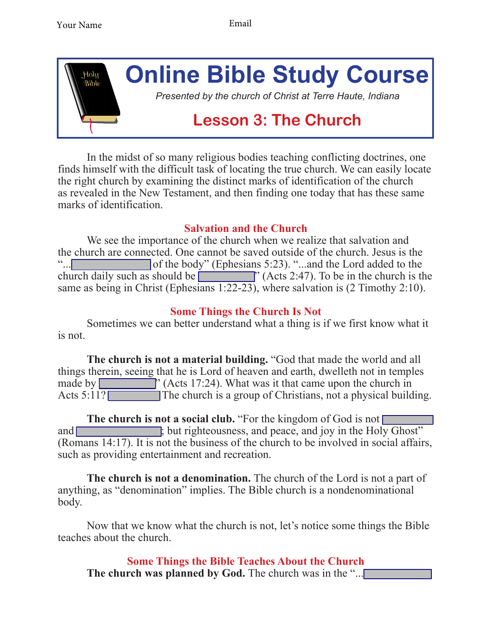

In the midst of so many religious bodies teaching conflicting doctrines, one finds himself with the difficult task of locating the true church. We can easily locate the right church by examining the distinct marks of identification of the church as revealed in the New Testament, and then finding one today that has these same marks of identification.

## **Salvation and the Church**

We see the importance of the church when we realize that salvation and the church are connected. One cannot be saved outside of the church. Jesus is the " of the body" (Ephesians 5:23). "...and the Lord added to the church daily such as should be  $\sim$  (Acts 2:47). To be in the church is the same as being in Christ (Ephesians 1:22-23), where salvation is (2 Timothy 2:10).

## **Some Things the Church Is Not**

Sometimes we can better understand what a thing is if we first know what it is not.

**The church is not a material building.** "God that made the world and all things therein, seeing that he is Lord of heaven and earth, dwelleth not in temples made by  $\blacksquare$  (Acts 17:24). What was it that came upon the church in Acts 5:11? The church is a group of Christians, not a physical building.

**The church is not a social club.** "For the kingdom of God is not  $\Box$ and same state is the righteousness, and peace, and joy in the Holy Ghost" (Romans 14:17). It is not the business of the church to be involved in social affairs, such as providing entertainment and recreation.

**The church is not a denomination.** The church of the Lord is not a part of anything, as "denomination" implies. The Bible church is a nondenominational body.

Now that we know what the church is not, let's notice some things the Bible teaches about the church.

**Some Things the Bible Teaches About the Church The church was planned by God.** The church was in the "...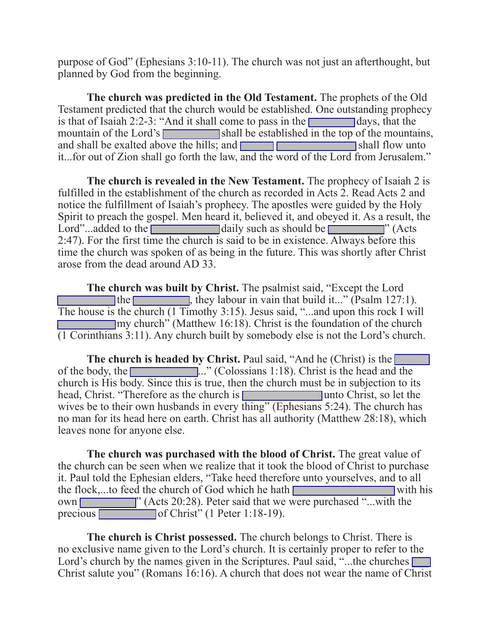purpose of God" (Ephesians 3:10-11). The church was not just an afterthought, but planned by God from the beginning.

**The church was predicted in the Old Testament.** The prophets of the Old Testament predicted that the church would be established. One outstanding prophecy is that of Isaiah 2:2-3: "And it shall come to pass in the  $\Box$  days, that the mountain of the Lord's service shall be established in the top of the mountains, and shall be exalted above the hills; and \_\_\_\_\_\_ \_\_\_\_\_\_\_\_\_\_\_\_\_\_ shall flow unto it...for out of Zion shall go forth the law, and the word of the Lord from Jerusalem."

**The church is revealed in the New Testament.** The prophecy of Isaiah 2 is fulfilled in the establishment of the church as recorded in Acts 2. Read Acts 2 and notice the fulfillment of Isaiah's prophecy. The apostles were guided by the Holy Spirit to preach the gospel. Men heard it, believed it, and obeyed it. As a result, the Lord"...added to the  $\Box$  daily such as should be  $\Box$  (Acts 2:47). For the first time the church is said to be in existence. Always before this time the church was spoken of as being in the future. This was shortly after Christ arose from the dead around AD 33.

**The church was built by Christ.** The psalmist said, "Except the Lord The state  $\Box$ , they labour in vain that build it..." (Psalm 127:1). The house is the church (1 Timothy 3:15). Jesus said, "...and upon this rock I will  $\Box$ my church" (Matthew 16:18). Christ is the foundation of the church (1 Corinthians 3:11). Any church built by somebody else is not the Lord's church.

**The church is headed by Christ.** Paul said, "And he (Christ) is the  $\Box$ of the body, the \_\_\_\_\_\_\_\_\_\_\_\_..." (Colossians 1:18). Christ is the head and the church is His body. Since this is true, then the church must be in subjection to its head, Christ. "Therefore as the church is **we are the change of the change of the change of the solution** wives be to their own husbands in every thing" (Ephesians 5:24). The church has no man for its head here on earth. Christ has all authority (Matthew 28:18), which leaves none for anyone else.

**The church was purchased with the blood of Christ.** The great value of the church can be seen when we realize that it took the blood of Christ to purchase it. Paul told the Ephesian elders, "Take heed therefore unto yourselves, and to all the flock,...to feed the church of God which he hath  $\Box$ own **with the countries** (Acts 20:28). Peter said that we were purchased "...with the precious \_\_\_\_\_\_\_\_\_\_ of Christ" (1 Peter 1:18-19).

**The church is Christ possessed.** The church belongs to Christ. There is no exclusive name given to the Lord's church. It is certainly proper to refer to the Lord's church by the names given in the Scriptures. Paul said, "...the churches  $\lceil$ Christ salute you" (Romans 16:16). A church that does not wear the name of Christ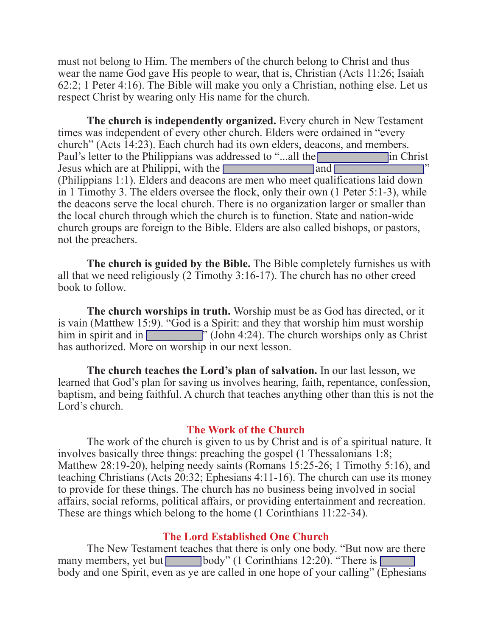must not belong to Him. The members of the church belong to Christ and thus wear the name God gave His people to wear, that is, Christian (Acts 11:26; Isaiah 62:2; 1 Peter 4:16). The Bible will make you only a Christian, nothing else. Let us respect Christ by wearing only His name for the church.

**The church is independently organized.** Every church in New Testament times was independent of every other church. Elders were ordained in "every church" (Acts 14:23). Each church had its own elders, deacons, and members. Paul's letter to the Philippians was addressed to "...all the **was addressed** in Christ Jesus which are at Philippi, with the  $\Box$ (Philippians 1:1). Elders and deacons are men who meet qualifications laid down in 1 Timothy 3. The elders oversee the flock, only their own (1 Peter 5:1-3), while the deacons serve the local church. There is no organization larger or smaller than the local church through which the church is to function. State and nation-wide church groups are foreign to the Bible. Elders are also called bishops, or pastors, not the preachers.

**The church is guided by the Bible.** The Bible completely furnishes us with all that we need religiously (2 Timothy 3:16-17). The church has no other creed book to follow.

**The church worships in truth.** Worship must be as God has directed, or it is vain (Matthew 15:9). "God is a Spirit: and they that worship him must worship him in spirit and in  $\blacksquare$  (John 4:24). The church worships only as Christ has authorized. More on worship in our next lesson.

**The church teaches the Lord's plan of salvation.** In our last lesson, we learned that God's plan for saving us involves hearing, faith, repentance, confession, baptism, and being faithful. A church that teaches anything other than this is not the Lord's church.

## **The Work of the Church**

 The work of the church is given to us by Christ and is of a spiritual nature. It involves basically three things: preaching the gospel (1 Thessalonians 1:8; Matthew 28:19-20), helping needy saints (Romans 15:25-26; 1 Timothy 5:16), and teaching Christians (Acts 20:32; Ephesians 4:11-16). The church can use its money to provide for these things. The church has no business being involved in social affairs, social reforms, political affairs, or providing entertainment and recreation. These are things which belong to the home (1 Corinthians 11:22-34).

## **The Lord Established One Church**

 The New Testament teaches that there is only one body. "But now are there many members, yet but  $\Box$  body" (1 Corinthians 12:20). "There is  $\Box$ body and one Spirit, even as ye are called in one hope of your calling" (Ephesians